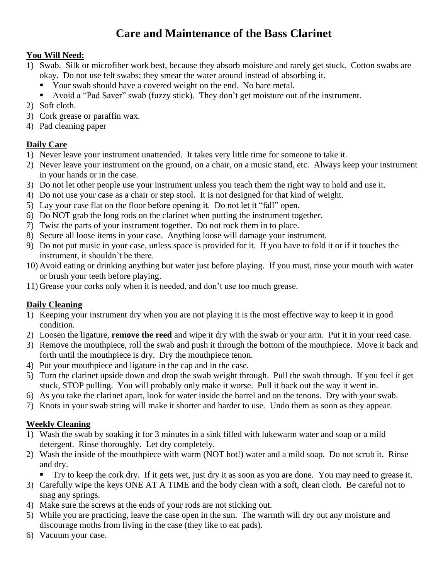# **Care and Maintenance of the Bass Clarinet**

# **You Will Need:**

- 1) Swab. Silk or microfiber work best, because they absorb moisture and rarely get stuck. Cotton swabs are okay. Do not use felt swabs; they smear the water around instead of absorbing it.
	- Your swab should have a covered weight on the end. No bare metal.
	- Avoid a "Pad Saver" swab (fuzzy stick). They don't get moisture out of the instrument.
- 2) Soft cloth.
- 3) Cork grease or paraffin wax.
- 4) Pad cleaning paper

# **Daily Care**

- 1) Never leave your instrument unattended. It takes very little time for someone to take it.
- 2) Never leave your instrument on the ground, on a chair, on a music stand, etc. Always keep your instrument in your hands or in the case.
- 3) Do not let other people use your instrument unless you teach them the right way to hold and use it.
- 4) Do not use your case as a chair or step stool. It is not designed for that kind of weight.
- 5) Lay your case flat on the floor before opening it. Do not let it "fall" open.
- 6) Do NOT grab the long rods on the clarinet when putting the instrument together.
- 7) Twist the parts of your instrument together. Do not rock them in to place.
- 8) Secure all loose items in your case. Anything loose will damage your instrument.
- 9) Do not put music in your case, unless space is provided for it. If you have to fold it or if it touches the instrument, it shouldn't be there.
- 10) Avoid eating or drinking anything but water just before playing. If you must, rinse your mouth with water or brush your teeth before playing.
- 11) Grease your corks only when it is needed, and don't use too much grease.

# **Daily Cleaning**

- 1) Keeping your instrument dry when you are not playing it is the most effective way to keep it in good condition.
- 2) Loosen the ligature, **remove the reed** and wipe it dry with the swab or your arm. Put it in your reed case.
- 3) Remove the mouthpiece, roll the swab and push it through the bottom of the mouthpiece. Move it back and forth until the mouthpiece is dry. Dry the mouthpiece tenon.
- 4) Put your mouthpiece and ligature in the cap and in the case.
- 5) Turn the clarinet upside down and drop the swab weight through. Pull the swab through. If you feel it get stuck, STOP pulling. You will probably only make it worse. Pull it back out the way it went in.
- 6) As you take the clarinet apart, look for water inside the barrel and on the tenons. Dry with your swab.
- 7) Knots in your swab string will make it shorter and harder to use. Undo them as soon as they appear.

# **Weekly Cleaning**

- 1) Wash the swab by soaking it for 3 minutes in a sink filled with lukewarm water and soap or a mild detergent. Rinse thoroughly. Let dry completely.
- 2) Wash the inside of the mouthpiece with warm (NOT hot!) water and a mild soap. Do not scrub it. Rinse and dry.
	- Try to keep the cork dry. If it gets wet, just dry it as soon as you are done. You may need to grease it.
- 3) Carefully wipe the keys ONE AT A TIME and the body clean with a soft, clean cloth. Be careful not to snag any springs.
- 4) Make sure the screws at the ends of your rods are not sticking out.
- 5) While you are practicing, leave the case open in the sun. The warmth will dry out any moisture and discourage moths from living in the case (they like to eat pads).
- 6) Vacuum your case.